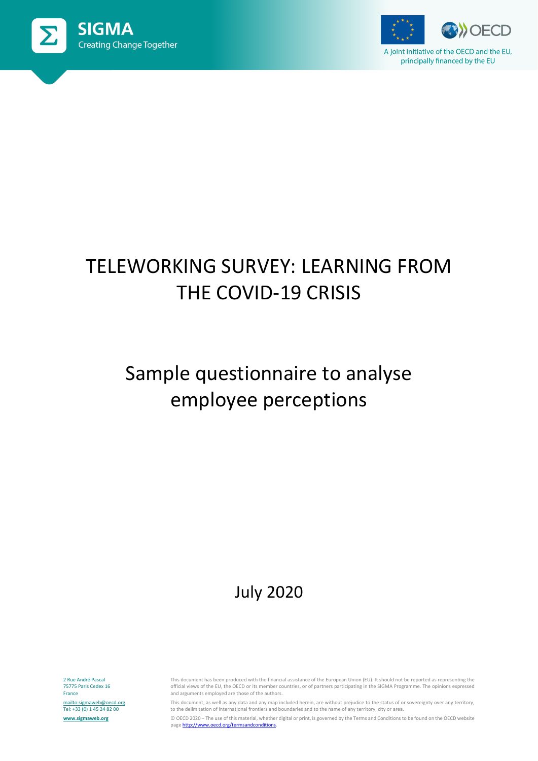



A joint initiative of the OECD and the EU, principally financed by the EU

# TELEWORKING SURVEY: LEARNING FROM THE COVID-19 CRISIS

# Sample questionnaire to analyse employee perceptions

### July 2020

2 Rue André Pascal 75775 Paris Cedex 16 France <mailto:sigmaweb@oecd.org> Tel: +33 (0) 1 45 24 82 00 **[www.sigmaweb.org](http://www.sigmaweb.org/)**

This document has been produced with the financial assistance of the European Union (EU). It should not be reported as representing the official views of the EU, the OECD or its member countries, or of partners participating in the SIGMA Programme. The opinions expressed and arguments employed are those of the authors.

This document, as well as any data and any map included herein, are without prejudice to the status of or sovereignty over any territory, to the delimitation of international frontiers and boundaries and to the name of any territory, city or area.

© OECD 2020 – The use of this material, whether digital or print, is governed by the Terms and Conditions to be found on the OECD website pag[e http://www.oecd.org/termsandconditions.](http://www.oecd.org/termsandconditions)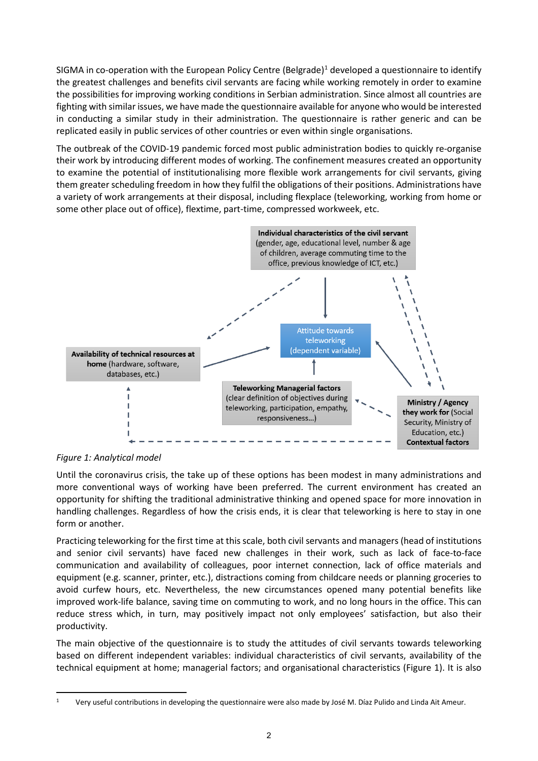SIGMA in co-operation with the European Policy Centre (Belgrade)<sup>[1](#page-1-0)</sup> developed a questionnaire to identify the greatest challenges and benefits civil servants are facing while working remotely in order to examine the possibilities for improving working conditions in Serbian administration. Since almost all countries are fighting with similar issues, we have made the questionnaire available for anyone who would be interested in conducting a similar study in their administration. The questionnaire is rather generic and can be replicated easily in public services of other countries or even within single organisations.

The outbreak of the COVID-19 pandemic forced most public administration bodies to quickly re-organise their work by introducing different modes of working. The confinement measures created an opportunity to examine the potential of institutionalising more flexible work arrangements for civil servants, giving them greater scheduling freedom in how they fulfil the obligations of their positions. Administrations have a variety of work arrangements at their disposal, including flexplace (teleworking, working from home or some other place out of office), flextime, part-time, compressed workweek, etc.



*Figure 1: Analytical model*

Until the coronavirus crisis, the take up of these options has been modest in many administrations and more conventional ways of working have been preferred. The current environment has created an opportunity for shifting the traditional administrative thinking and opened space for more innovation in handling challenges. Regardless of how the crisis ends, it is clear that teleworking is here to stay in one form or another.

Practicing teleworking for the first time at this scale, both civil servants and managers (head of institutions and senior civil servants) have faced new challenges in their work, such as lack of face-to-face communication and availability of colleagues, poor internet connection, lack of office materials and equipment (e.g. scanner, printer, etc.), distractions coming from childcare needs or planning groceries to avoid curfew hours, etc. Nevertheless, the new circumstances opened many potential benefits like improved work-life balance, saving time on commuting to work, and no long hours in the office. This can reduce stress which, in turn, may positively impact not only employees' satisfaction, but also their productivity.

The main objective of the questionnaire is to study the attitudes of civil servants towards teleworking based on different independent variables: individual characteristics of civil servants, availability of the technical equipment at home; managerial factors; and organisational characteristics (Figure 1). It is also

<span id="page-1-0"></span> $\overline{a}$ <sup>1</sup> Very useful contributions in developing the questionnaire were also made by José M. Díaz Pulido and Linda Ait Ameur.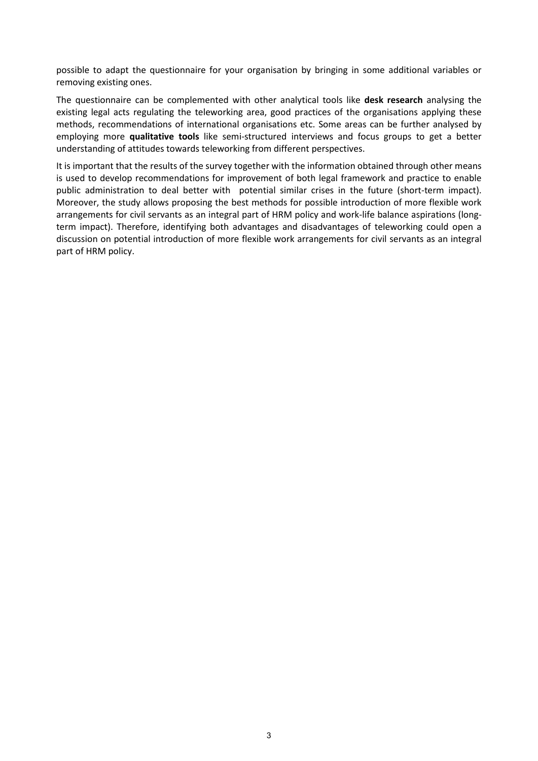possible to adapt the questionnaire for your organisation by bringing in some additional variables or removing existing ones.

The questionnaire can be complemented with other analytical tools like **desk research** analysing the existing legal acts regulating the teleworking area, good practices of the organisations applying these methods, recommendations of international organisations etc. Some areas can be further analysed by employing more **qualitative tools** like semi-structured interviews and focus groups to get a better understanding of attitudes towards teleworking from different perspectives.

It is important that the results of the survey together with the information obtained through other means is used to develop recommendations for improvement of both legal framework and practice to enable public administration to deal better with potential similar crises in the future (short-term impact). Moreover, the study allows proposing the best methods for possible introduction of more flexible work arrangements for civil servants as an integral part of HRM policy and work-life balance aspirations (longterm impact). Therefore, identifying both advantages and disadvantages of teleworking could open a discussion on potential introduction of more flexible work arrangements for civil servants as an integral part of HRM policy.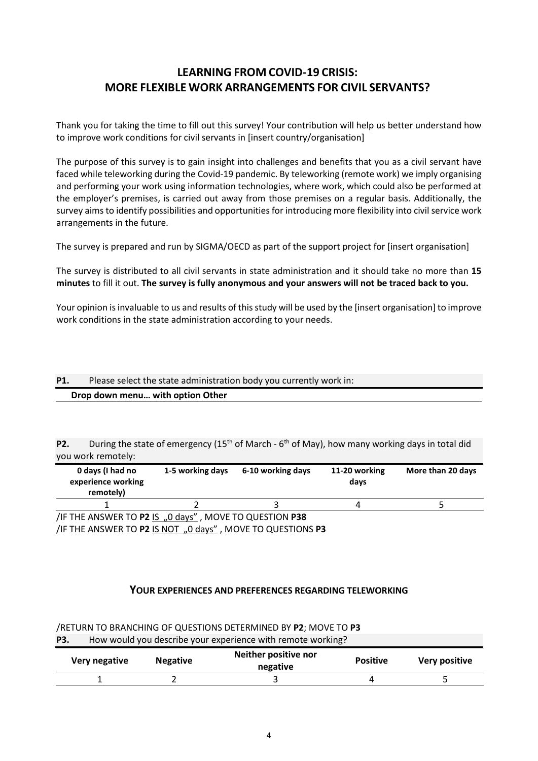### **LEARNING FROM COVID-19 CRISIS: MORE FLEXIBLE WORK ARRANGEMENTS FOR CIVIL SERVANTS?**

Thank you for taking the time to fill out this survey! Your contribution will help us better understand how to improve work conditions for civil servants in [insert country/organisation]

The purpose of this survey is to gain insight into challenges and benefits that you as a civil servant have faced while teleworking during the Covid-19 pandemic. By teleworking (remote work) we imply organising and performing your work using information technologies, where work, which could also be performed at the employer's premises, is carried out away from those premises on a regular basis. Additionally, the survey aims to identify possibilities and opportunities for introducing more flexibility into civil service work arrangements in the future.

The survey is prepared and run by SIGMA/OECD as part of the support project for [insert organisation]

The survey is distributed to all civil servants in state administration and it should take no more than **15 minutes** to fill it out. **The survey is fully anonymous and your answers will not be traced back to you.** 

Your opinion is invaluable to us and results of this study will be used by the [insert organisation] to improve work conditions in the state administration according to your needs.

#### **P1.** Please select the state administration body you currently work in: **Drop down menu… with option Other**

**P2.** During the state of emergency (15<sup>th</sup> of March - 6<sup>th</sup> of May), how many working days in total did you work remotely:

| 0 days (I had no<br>experience working<br>remotely)          | 1-5 working days | 6-10 working days | 11-20 working<br>davs | More than 20 days |
|--------------------------------------------------------------|------------------|-------------------|-----------------------|-------------------|
|                                                              |                  |                   |                       |                   |
| <b>IF THE ANSWER TO D2 IS A DANSE MANYE TO OLIESTION D38</b> |                  |                   |                       |                   |

/IF THE ANSWER TO **P2** IS "0 days" , MOVE TO QUESTION **P38** /IF THE ANSWER TO **P2** IS NOT "0 days" , MOVE TO QUESTIONS **P3**

#### **YOUR EXPERIENCES AND PREFERENCES REGARDING TELEWORKING**

| <b>P3.</b> |               |                 | How would you describe your experience with remote working? |                 |               |
|------------|---------------|-----------------|-------------------------------------------------------------|-----------------|---------------|
|            | Very negative | <b>Negative</b> | Neither positive nor<br>negative                            | <b>Positive</b> | Very positive |
|            |               |                 |                                                             |                 |               |

/RETURN TO BRANCHING OF QUESTIONS DETERMINED BY **P2**; MOVE TO **P3**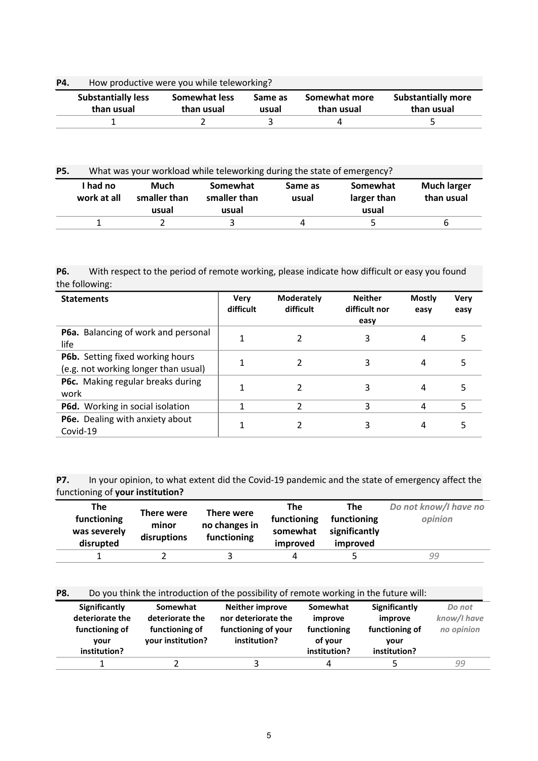| P4. | How productive were you while teleworking? |                             |                  |                             |                                         |  |  |  |  |
|-----|--------------------------------------------|-----------------------------|------------------|-----------------------------|-----------------------------------------|--|--|--|--|
|     | <b>Substantially less</b><br>than usual    | Somewhat less<br>than usual | Same as<br>usual | Somewhat more<br>than usual | <b>Substantially more</b><br>than usual |  |  |  |  |
|     |                                            |                             |                  |                             |                                         |  |  |  |  |

#### **P4.** How productive were you while teleworking?

| <b>P5.</b> | What was your workload while teleworking during the state of emergency? |                               |                                   |                  |                                  |                                  |
|------------|-------------------------------------------------------------------------|-------------------------------|-----------------------------------|------------------|----------------------------------|----------------------------------|
|            | I had no<br>work at all                                                 | Much<br>smaller than<br>usual | Somewhat<br>smaller than<br>usual | Same as<br>usual | Somewhat<br>larger than<br>usual | <b>Much larger</b><br>than usual |
|            |                                                                         |                               |                                   |                  |                                  | b                                |

#### **P6.** With respect to the period of remote working, please indicate how difficult or easy you found the following:

| <b>Statements</b>                                                        | Verv<br>difficult | <b>Moderately</b><br>difficult | <b>Neither</b><br>difficult nor<br>easy | <b>Mostly</b><br>easy | <b>Very</b><br>easy |
|--------------------------------------------------------------------------|-------------------|--------------------------------|-----------------------------------------|-----------------------|---------------------|
| P6a. Balancing of work and personal<br>life                              |                   |                                | 3                                       | 4                     | ר                   |
| P6b. Setting fixed working hours<br>(e.g. not working longer than usual) |                   |                                | 3                                       | 4                     | 5                   |
| P6c. Making regular breaks during<br>work                                |                   | 2                              | 3                                       | 4                     |                     |
| P6d. Working in social isolation                                         |                   | 2                              | 3                                       | 4                     | 5                   |
| P6e. Dealing with anxiety about<br>Covid-19                              |                   |                                | 3                                       | 4                     |                     |

#### **P7.** In your opinion, to what extent did the Covid-19 pandemic and the state of emergency affect the functioning of **your institution?**

| The<br>functioning<br>was severely<br>disrupted | There were<br>minor<br>disruptions | There were<br>no changes in<br>functioning | <b>The</b><br>functioning<br>somewhat<br>improved | The<br>functioning<br>significantly<br>improved | Do not know/I have no<br>opinion |
|-------------------------------------------------|------------------------------------|--------------------------------------------|---------------------------------------------------|-------------------------------------------------|----------------------------------|
|                                                 |                                    |                                            |                                                   |                                                 | 99                               |

#### **P8.** Do you think the introduction of the possibility of remote working in the future will:

| Significantly<br>deteriorate the<br>functioning of<br>vour<br>institution? | Somewhat<br>deteriorate the<br>functioning of<br>your institution? | <b>Neither improve</b><br>nor deteriorate the<br>functioning of your<br>institution? | Somewhat<br>improve<br>functioning<br>of vour<br>institution? | Significantly<br>improve<br>functioning of<br>vour<br>institution? | Do not<br>know/I have<br>no opinion |
|----------------------------------------------------------------------------|--------------------------------------------------------------------|--------------------------------------------------------------------------------------|---------------------------------------------------------------|--------------------------------------------------------------------|-------------------------------------|
|                                                                            |                                                                    |                                                                                      | Δ                                                             |                                                                    | 99                                  |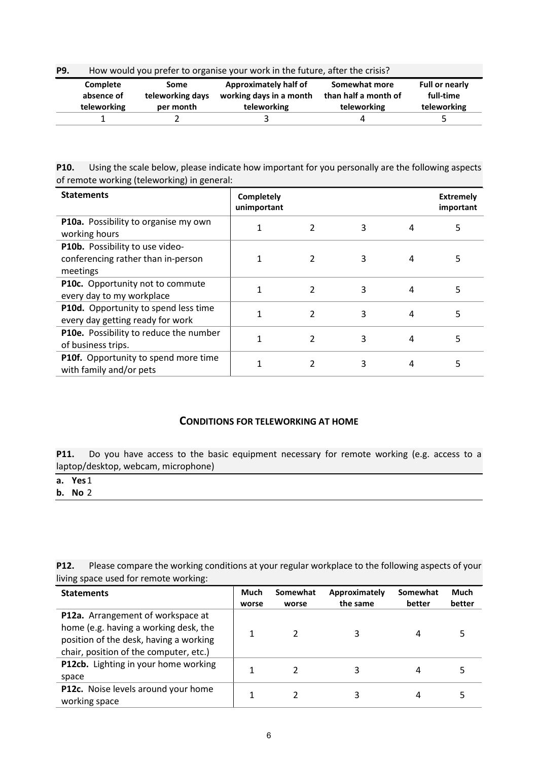| <b>P9.</b> | How would you prefer to organise your work in the future, after the crisis? |                                       |                                                                        |                                                      |                                                   |  |  |  |
|------------|-----------------------------------------------------------------------------|---------------------------------------|------------------------------------------------------------------------|------------------------------------------------------|---------------------------------------------------|--|--|--|
|            | Complete<br>absence of<br>teleworking                                       | Some<br>teleworking days<br>per month | <b>Approximately half of</b><br>working days in a month<br>teleworking | Somewhat more<br>than half a month of<br>teleworking | <b>Full or nearly</b><br>full-time<br>teleworking |  |  |  |
|            |                                                                             |                                       |                                                                        |                                                      |                                                   |  |  |  |

**P10.** Using the scale below, please indicate how important for you personally are the following aspects of remote working (teleworking) in general:

| <b>Statements</b>                                                                 | Completely<br>unimportant |                |   |   | <b>Extremely</b><br>important |
|-----------------------------------------------------------------------------------|---------------------------|----------------|---|---|-------------------------------|
| P10a. Possibility to organise my own<br>working hours                             |                           |                | 3 | 4 | 5                             |
| P10b. Possibility to use video-<br>conferencing rather than in-person<br>meetings |                           |                | 3 | 4 |                               |
| P10c. Opportunity not to commute<br>every day to my workplace                     |                           | $\mathcal{P}$  | 3 | 4 |                               |
| P10d. Opportunity to spend less time<br>every day getting ready for work          |                           | $\overline{2}$ | 3 | 4 | 5                             |
| P10e. Possibility to reduce the number<br>of business trips.                      |                           | $\mathfrak{p}$ | 3 | 4 | 5                             |
| P10f. Opportunity to spend more time<br>with family and/or pets                   |                           |                | 3 | 4 |                               |

#### **CONDITIONS FOR TELEWORKING AT HOME**

P11. Do you have access to the basic equipment necessary for remote working (e.g. access to a laptop/desktop, webcam, microphone)

**b. No** 2

**P12.** Please compare the working conditions at your regular workplace to the following aspects of your living space used for remote working:

| <b>Statements</b>                                                                                                                                              | Much<br>worse | Somewhat<br>worse | Approximately<br>the same | Somewhat<br>better | Much<br>better |
|----------------------------------------------------------------------------------------------------------------------------------------------------------------|---------------|-------------------|---------------------------|--------------------|----------------|
| P12a. Arrangement of workspace at<br>home (e.g. having a working desk, the<br>position of the desk, having a working<br>chair, position of the computer, etc.) |               |                   | 3                         | 4                  |                |
| P12cb. Lighting in your home working<br>space                                                                                                                  |               |                   | 3                         | 4                  |                |
| <b>P12c.</b> Noise levels around your home<br>working space                                                                                                    |               |                   | 3                         | 4                  |                |

**a. Yes**1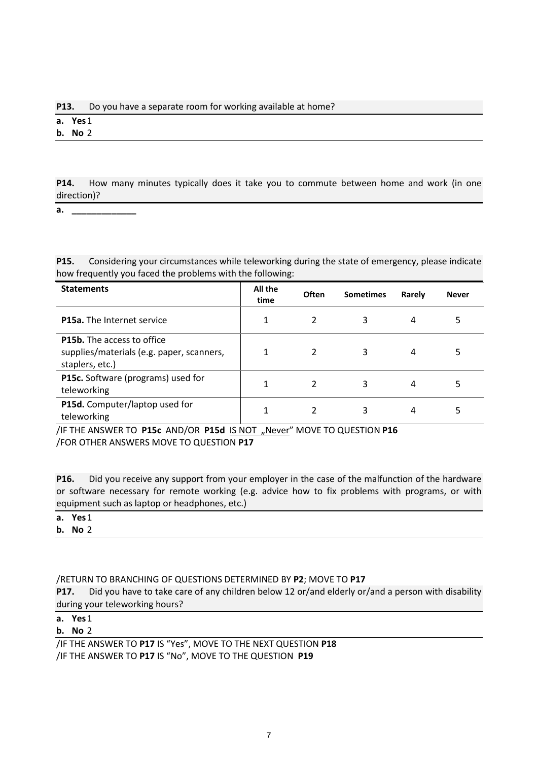#### **P13.** Do you have a separate room for working available at home?

**a. Yes**1

**b. No** 2

**P14.** How many minutes typically does it take you to commute between home and work (in one direction)?

**a. \_\_\_\_\_\_\_\_\_\_\_\_\_**

**P15.** Considering your circumstances while teleworking during the state of emergency, please indicate how frequently you faced the problems with the following:

| <b>Statements</b>                                                                                 | All the<br>time | Often         | <b>Sometimes</b> | Rarely | <b>Never</b> |
|---------------------------------------------------------------------------------------------------|-----------------|---------------|------------------|--------|--------------|
| <b>P15a.</b> The Internet service                                                                 | 1               | $\mathcal{P}$ | 3                | 4      | 5            |
| <b>P15b.</b> The access to office<br>supplies/materials (e.g. paper, scanners,<br>staplers, etc.) | 1               |               | 3                | 4      | 5            |
| P15c. Software (programs) used for<br>teleworking                                                 | 1               |               | 3                | 4      | 5            |
| P15d. Computer/laptop used for<br>teleworking                                                     | 1               |               |                  | 4      |              |

/IF THE ANSWER TO **P15c** AND/OR **P15d** IS NOT "Never" MOVE TO QUESTION **P16** /FOR OTHER ANSWERS MOVE TO QUESTION **P17**

**P16.** Did you receive any support from your employer in the case of the malfunction of the hardware or software necessary for remote working (e.g. advice how to fix problems with programs, or with equipment such as laptop or headphones, etc.)

| a. Yes1 |                |  |
|---------|----------------|--|
|         | <b>b.</b> No 2 |  |

/RETURN TO BRANCHING OF QUESTIONS DETERMINED BY **P2**; MOVE TO **P17**

**P17.** Did you have to take care of any children below 12 or/and elderly or/and a person with disability during your teleworking hours?

**a. Yes**1

#### **b. No** 2

/IF THE ANSWER TO **P17** IS "Yes", MOVE TO THE NEXT QUESTION **P18**

/IF THE ANSWER TO **P17** IS "No", MOVE TO THE QUESTION **P19**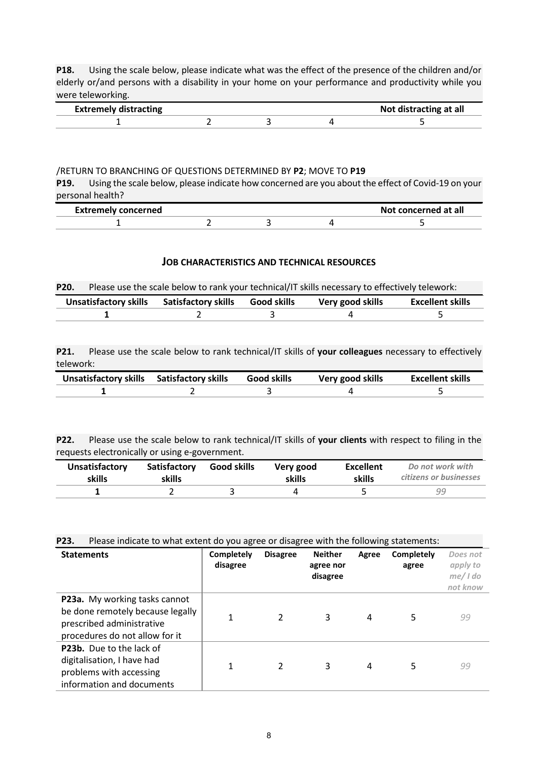**P18.** Using the scale below, please indicate what was the effect of the presence of the children and/or elderly or/and persons with a disability in your home on your performance and productivity while you were teleworking.

| Extreme<br><sup>-+</sup> ing |  | <b>icting at all</b><br>mm |  |  |  |
|------------------------------|--|----------------------------|--|--|--|
|                              |  |                            |  |  |  |

#### /RETURN TO BRANCHING OF QUESTIONS DETERMINED BY **P2**; MOVE TO **P19**

**P19.** Using the scale below, please indicate how concerned are you about the effect of Covid-19 on your personal health?

| <b>Extremely concerned</b> |  | Not concerned at all |  |  |
|----------------------------|--|----------------------|--|--|
|                            |  |                      |  |  |

#### **JOB CHARACTERISTICS AND TECHNICAL RESOURCES**

| <b>P20.</b> | Please use the scale below to rank your technical/IT skills necessary to effectively telework: |                                                       |  |                  |                  |  |  |
|-------------|------------------------------------------------------------------------------------------------|-------------------------------------------------------|--|------------------|------------------|--|--|
|             |                                                                                                | Unsatisfactory skills Satisfactory skills Good skills |  | Very good skills | Excellent skills |  |  |
|             |                                                                                                |                                                       |  |                  |                  |  |  |

**P21.** Please use the scale below to rank technical/IT skills of **your colleagues** necessary to effectively telework:

| Unsatisfactory skills Satisfactory skills | <b>Good skills</b> | Very good skills | <b>Excellent skills</b> |  |
|-------------------------------------------|--------------------|------------------|-------------------------|--|
|                                           |                    |                  |                         |  |

**P22.** Please use the scale below to rank technical/IT skills of **your clients** with respect to filing in the requests electronically or using e-government.

| <b>Unsatisfactory</b> | Satisfactory | Good skills | Very good | <b>Excellent</b> | Do not work with       |
|-----------------------|--------------|-------------|-----------|------------------|------------------------|
| skills                | skills       |             | skills    | skills           | citizens or businesses |
|                       |              |             |           |                  | 99                     |

**P23.** Please indicate to what extent do you agree or disagree with the following statements:

| <b>Statements</b>                                                                                                                | <b>Completely</b><br>disagree | <b>Disagree</b> | <b>Neither</b><br>agree nor<br>disagree | Agree | <b>Completely</b><br>agree | Does not<br>apply to<br>$me/$ I do<br>not know |
|----------------------------------------------------------------------------------------------------------------------------------|-------------------------------|-----------------|-----------------------------------------|-------|----------------------------|------------------------------------------------|
| P23a. My working tasks cannot<br>be done remotely because legally<br>prescribed administrative<br>procedures do not allow for it |                               | 2               | 3                                       | 4     | 5                          | 99                                             |
| P23b. Due to the lack of<br>digitalisation, I have had<br>problems with accessing<br>information and documents                   |                               | $\mathfrak{p}$  | 3                                       | 4     | 5                          | 99                                             |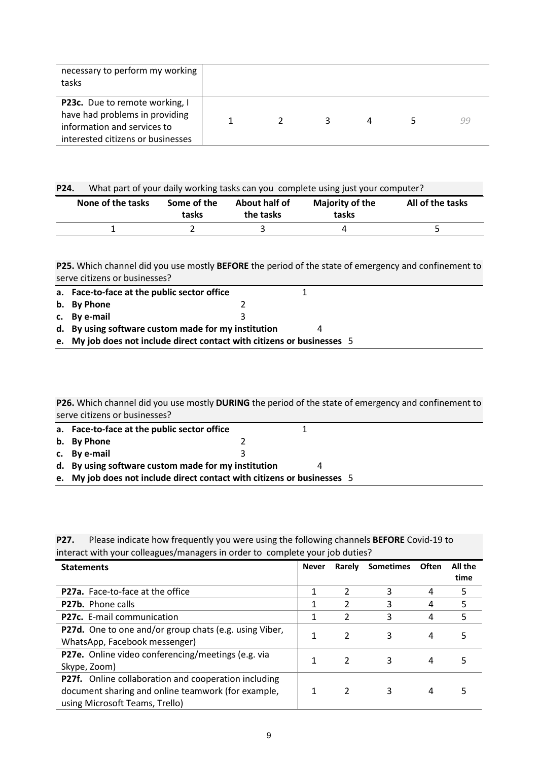| necessary to perform my working<br>tasks                                                                                             |  |    |  |    |
|--------------------------------------------------------------------------------------------------------------------------------------|--|----|--|----|
| P23c. Due to remote working, I<br>have had problems in providing<br>information and services to<br>interested citizens or businesses |  | 3. |  | 99 |

| P24. | What part of your daily working tasks can you complete using just your computer? |  |
|------|----------------------------------------------------------------------------------|--|
|------|----------------------------------------------------------------------------------|--|

| None of the tasks | Some of the<br>tasks | About half of<br>the tasks | <b>Majority of the</b><br>tasks | All of the tasks |
|-------------------|----------------------|----------------------------|---------------------------------|------------------|
|                   |                      |                            |                                 |                  |

**P25.** Which channel did you use mostly **BEFORE** the period of the state of emergency and confinement to serve citizens or businesses?

| a. Face-to-face at the public sector office                             |  |  |
|-------------------------------------------------------------------------|--|--|
| b. By Phone                                                             |  |  |
| c. By e-mail                                                            |  |  |
| d. By using software custom made for my institution                     |  |  |
| e. My job does not include direct contact with citizens or businesses 5 |  |  |

**P26.** Which channel did you use mostly **DURING** the period of the state of emergency and confinement to serve citizens or businesses?

| a. Face-to-face at the public sector office                             |  |  |
|-------------------------------------------------------------------------|--|--|
| b. By Phone                                                             |  |  |
| c. By e-mail                                                            |  |  |
| d. By using software custom made for my institution                     |  |  |
| e. My job does not include direct contact with citizens or businesses 5 |  |  |

**P27.** Please indicate how frequently you were using the following channels **BEFORE** Covid-19 to interact with your colleagues/managers in order to complete your job duties?

| <b>Statements</b>                                      | <b>Never</b> | Rarely        | <b>Sometimes</b> | <b>Often</b> | All the |
|--------------------------------------------------------|--------------|---------------|------------------|--------------|---------|
|                                                        |              |               |                  |              | time    |
| <b>P27a.</b> Face-to-face at the office                |              | 2             | 3                | 4            | 5       |
| <b>P27b.</b> Phone calls                               |              | 2             | 3                | 4            | 5       |
| P27c. E-mail communication                             |              | $\mathcal{P}$ | 3                | 4            | 5       |
| P27d. One to one and/or group chats (e.g. using Viber, |              | $\mathcal{P}$ | 3                | 4            |         |
| WhatsApp, Facebook messenger)                          |              |               |                  |              |         |
| P27e. Online video conferencing/meetings (e.g. via     |              | $\mathcal{L}$ | 3                |              |         |
| Skype, Zoom)                                           |              |               |                  | 4            |         |
| P27f. Online collaboration and cooperation including   |              |               |                  |              |         |
| document sharing and online teamwork (for example,     |              | $\mathcal{P}$ | 3                | 4            |         |
| using Microsoft Teams, Trello)                         |              |               |                  |              |         |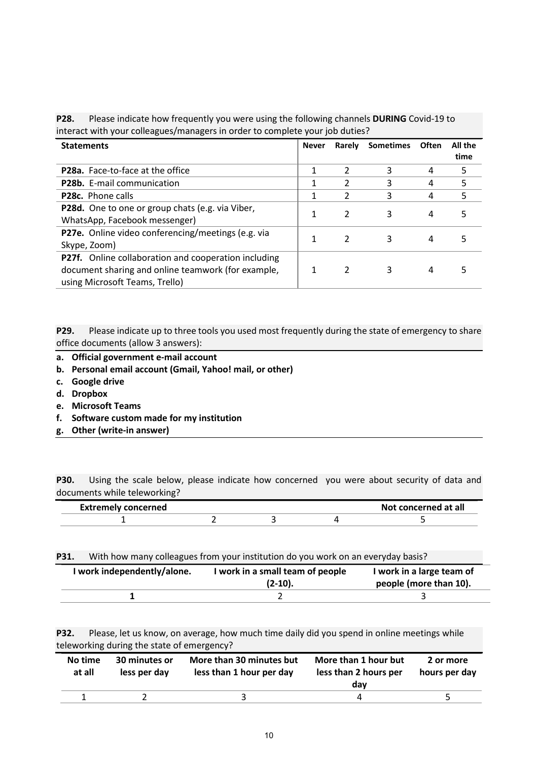**P28.** Please indicate how frequently you were using the following channels **DURING** Covid-19 to interact with your colleagues/managers in order to complete your job duties?

| <b>Never</b><br><b>Statements</b>                    |  | Rarely         | <b>Sometimes</b> | <b>Often</b> | All the |
|------------------------------------------------------|--|----------------|------------------|--------------|---------|
|                                                      |  |                |                  |              | time    |
| <b>P28a.</b> Face-to-face at the office              |  | $\mathcal{L}$  | 3                | 4            | 5       |
| P28b. E-mail communication                           |  | $\mathfrak{p}$ | 3                | 4            | 5       |
| <b>P28c.</b> Phone calls                             |  | 2              | 3                | 4            | 5       |
| P28d. One to one or group chats (e.g. via Viber,     |  | $\mathcal{P}$  | 3                | 4            | 5       |
| WhatsApp, Facebook messenger)                        |  |                |                  |              |         |
| P27e. Online video conferencing/meetings (e.g. via   |  | $\mathcal{P}$  | 3                | 4            |         |
| Skype, Zoom)                                         |  |                |                  |              |         |
| P27f. Online collaboration and cooperation including |  |                |                  |              |         |
| document sharing and online teamwork (for example,   |  |                | 3                | 4            |         |
| using Microsoft Teams, Trello)                       |  |                |                  |              |         |

**P29.** Please indicate up to three tools you used most frequently during the state of emergency to share office documents (allow 3 answers):

- **a. Official government e-mail account**
- **b. Personal email account (Gmail, Yahoo! mail, or other)**
- **c. Google drive**
- **d. Dropbox**
- **e. Microsoft Teams**
- **f. Software custom made for my institution**
- **g. Other (write-in answer)**

**P30.** Using the scale below, please indicate how concerned you were about security of data and documents while teleworking?

| concerned<br>Fv |  | $-$ ncornon $-$<br>`at all |
|-----------------|--|----------------------------|
|                 |  |                            |

**P31.** With how many colleagues from your institution do you work on an everyday basis?

| I work independently/alone. | I work in a small team of people<br>$(2-10).$ | I work in a large team of<br>people (more than 10). |
|-----------------------------|-----------------------------------------------|-----------------------------------------------------|
|                             |                                               |                                                     |

**P32.** Please, let us know, on average, how much time daily did you spend in online meetings while teleworking during the state of emergency?

| No time<br>at all | 30 minutes or<br>less per day | More than 30 minutes but<br>less than 1 hour per day | More than 1 hour but<br>less than 2 hours per<br>dav | 2 or more<br>hours per day |
|-------------------|-------------------------------|------------------------------------------------------|------------------------------------------------------|----------------------------|
|                   |                               |                                                      |                                                      |                            |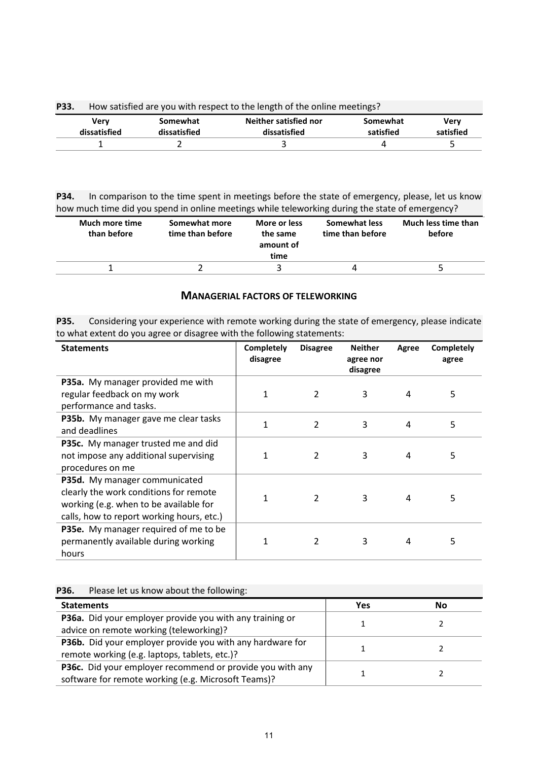| P33. | How satisfied are you with respect to the length of the online meetings? |                          |                                       |                       |                   |  |
|------|--------------------------------------------------------------------------|--------------------------|---------------------------------------|-----------------------|-------------------|--|
|      | Verv<br>dissatisfied                                                     | Somewhat<br>dissatisfied | Neither satisfied nor<br>dissatisfied | Somewhat<br>satisfied | Verv<br>satisfied |  |
|      |                                                                          |                          |                                       |                       |                   |  |

**P34.** In comparison to the time spent in meetings before the state of emergency, please, let us know how much time did you spend in online meetings while teleworking during the state of emergency?

| Much more time<br>than before | Somewhat more<br>time than before | More or less<br>the same<br>amount of<br>time | Somewhat less<br>time than before | Much less time than<br>before |
|-------------------------------|-----------------------------------|-----------------------------------------------|-----------------------------------|-------------------------------|
|                               |                                   |                                               |                                   |                               |

#### **MANAGERIAL FACTORS OF TELEWORKING**

**P35.** Considering your experience with remote working during the state of emergency, please indicate to what extent do you agree or disagree with the following statements:

| <b>Statements</b>                                                                                                                                              | <b>Completely</b><br>disagree | <b>Disagree</b> | <b>Neither</b><br>agree nor<br>disagree | Agree | Completely<br>agree |
|----------------------------------------------------------------------------------------------------------------------------------------------------------------|-------------------------------|-----------------|-----------------------------------------|-------|---------------------|
| P35a. My manager provided me with<br>regular feedback on my work<br>performance and tasks.                                                                     | 1                             | 2               | 3                                       | 4     | 5                   |
| P35b. My manager gave me clear tasks<br>and deadlines                                                                                                          | 1                             | $\overline{2}$  | 3                                       | 4     | 5                   |
| P35c. My manager trusted me and did<br>not impose any additional supervising<br>procedures on me                                                               | 1                             | $\mathfrak{p}$  | 3                                       | 4     | 5                   |
| P35d. My manager communicated<br>clearly the work conditions for remote<br>working (e.g. when to be available for<br>calls, how to report working hours, etc.) | 1                             | $\overline{2}$  | 3                                       | 4     | 5                   |
| P35e. My manager required of me to be<br>permanently available during working<br>hours                                                                         | 1                             | 2               | 3                                       | 4     | 5                   |

| Please let us know about the following: |
|-----------------------------------------|
|                                         |

| <b>Statements</b>                                         | Yes | Nο |
|-----------------------------------------------------------|-----|----|
| P36a. Did your employer provide you with any training or  |     |    |
| advice on remote working (teleworking)?                   |     |    |
| P36b. Did your employer provide you with any hardware for |     |    |
| remote working (e.g. laptops, tablets, etc.)?             |     |    |
| P36c. Did your employer recommend or provide you with any |     |    |
| software for remote working (e.g. Microsoft Teams)?       |     |    |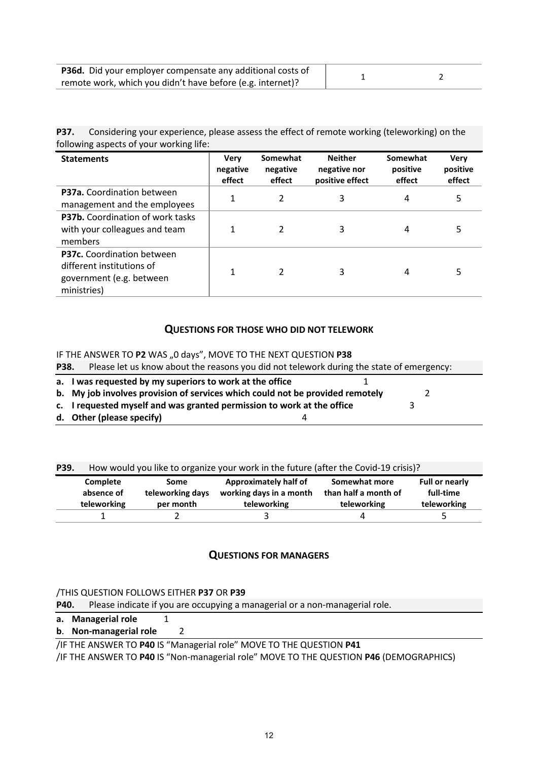| P36d. Did your employer compensate any additional costs of |  |
|------------------------------------------------------------|--|
| remote work, which you didn't have before (e.g. internet)? |  |

**P37.** Considering your experience, please assess the effect of remote working (teleworking) on the following aspects of your working life:

| <b>Statements</b>                                                                                  | <b>Very</b><br>negative<br>effect | Somewhat<br>negative<br>effect | <b>Neither</b><br>negative nor<br>positive effect | Somewhat<br>positive<br>effect | <b>Verv</b><br>positive<br>effect |
|----------------------------------------------------------------------------------------------------|-----------------------------------|--------------------------------|---------------------------------------------------|--------------------------------|-----------------------------------|
| P37a. Coordination between<br>management and the employees                                         |                                   | 2                              | 3                                                 | 4                              | 5                                 |
| P37b. Coordination of work tasks<br>with your colleagues and team<br>members                       |                                   | 2                              | 3                                                 | 4                              | 5                                 |
| P37c. Coordination between<br>different institutions of<br>government (e.g. between<br>ministries) |                                   | 2                              | 3                                                 | 4                              | 5                                 |

#### **QUESTIONS FOR THOSE WHO DID NOT TELEWORK**

IF THE ANSWER TO P2 WAS "0 days", MOVE TO THE NEXT QUESTION P38

| P38. | Please let us know about the reasons you did not telework during the state of emergency: |
|------|------------------------------------------------------------------------------------------|
|------|------------------------------------------------------------------------------------------|

| a. I was requested by my superiors to work at the office                      |  |
|-------------------------------------------------------------------------------|--|
| b. My job involves provision of services which could not be provided remotely |  |
| c. I requested myself and was granted permission to work at the office        |  |
| d. Other (please specify)                                                     |  |

**P39.** How would you like to organize your work in the future (after the Covid-19 crisis)?

| Complete<br>absence of | Some<br>teleworking days | Approximately half of<br>working days in a month | Somewhat more<br>than half a month of | Full or nearly<br>full-time |
|------------------------|--------------------------|--------------------------------------------------|---------------------------------------|-----------------------------|
| teleworking            | per month                | teleworking                                      | teleworking                           | teleworking                 |
|                        |                          |                                                  | 4                                     |                             |

#### **QUESTIONS FOR MANAGERS**

#### /THIS QUESTION FOLLOWS EITHER **P37** OR **P39**

**P40.** Please indicate if you are occupying a managerial or a non-managerial role.

**a. Managerial role** 1

#### **b**. **Non-managerial role** 2

/IF THE ANSWER TO **P40** IS "Managerial role" MOVE TO THE QUESTION **P41**

/IF THE ANSWER TO **P40** IS "Non-managerial role" MOVE TO THE QUESTION **P46** (DEMOGRAPHICS)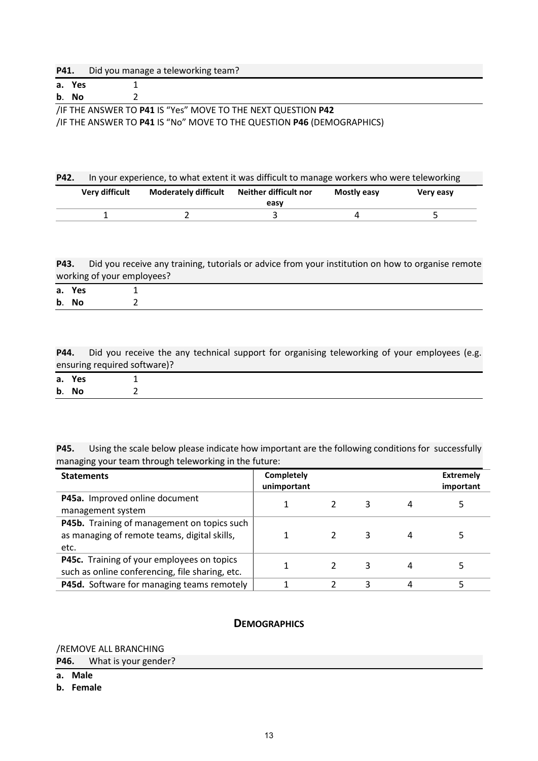| P41. | Did you manage a teleworking team? |
|------|------------------------------------|
|------|------------------------------------|

| a. Yes |                                                              |
|--------|--------------------------------------------------------------|
| b. No  |                                                              |
|        | /IF THE ANSWER TO P41 IS "Yes" MOVE TO THE NEXT QUESTION P42 |

/IF THE ANSWER TO **P41** IS "No" MOVE TO THE QUESTION **P46** (DEMOGRAPHICS)

| P42. | In your experience, to what extent it was difficult to manage workers who were teleworking |                             |                       |             |           |  |
|------|--------------------------------------------------------------------------------------------|-----------------------------|-----------------------|-------------|-----------|--|
|      | <b>Very difficult</b>                                                                      | <b>Moderately difficult</b> | Neither difficult nor | Mostly easy | Very easy |  |
|      |                                                                                            |                             | easv                  |             |           |  |
|      |                                                                                            |                             |                       |             |           |  |

**P43.** Did you receive any training, tutorials or advice from your institution on how to organise remote working of your employees?

| a. Yes |  |  |  |  |
|--------|--|--|--|--|
| b. No  |  |  |  |  |

P44. Did you receive the any technical support for organising teleworking of your employees (e.g. ensuring required software)?

| a. Yes |  |
|--------|--|
| b. No  |  |

**P45.** Using the scale below please indicate how important are the following conditions for successfully managing your team through teleworking in the future:

| <b>Statements</b>                                                                                   | <b>Completely</b><br>unimportant |   |   | <b>Extremely</b><br>important |
|-----------------------------------------------------------------------------------------------------|----------------------------------|---|---|-------------------------------|
| P45a. Improved online document<br>management system                                                 |                                  | 3 | 4 |                               |
| P45b. Training of management on topics such<br>as managing of remote teams, digital skills,<br>etc. |                                  | 3 | 4 |                               |
| P45c. Training of your employees on topics<br>such as online conferencing, file sharing, etc.       |                                  | 3 | 4 |                               |
| P45d. Software for managing teams remotely                                                          |                                  | 3 | 4 |                               |

#### **DEMOGRAPHICS**

/REMOVE ALL BRANCHING

**P46.** What is your gender?

- **a. Male**
- **b. Female**